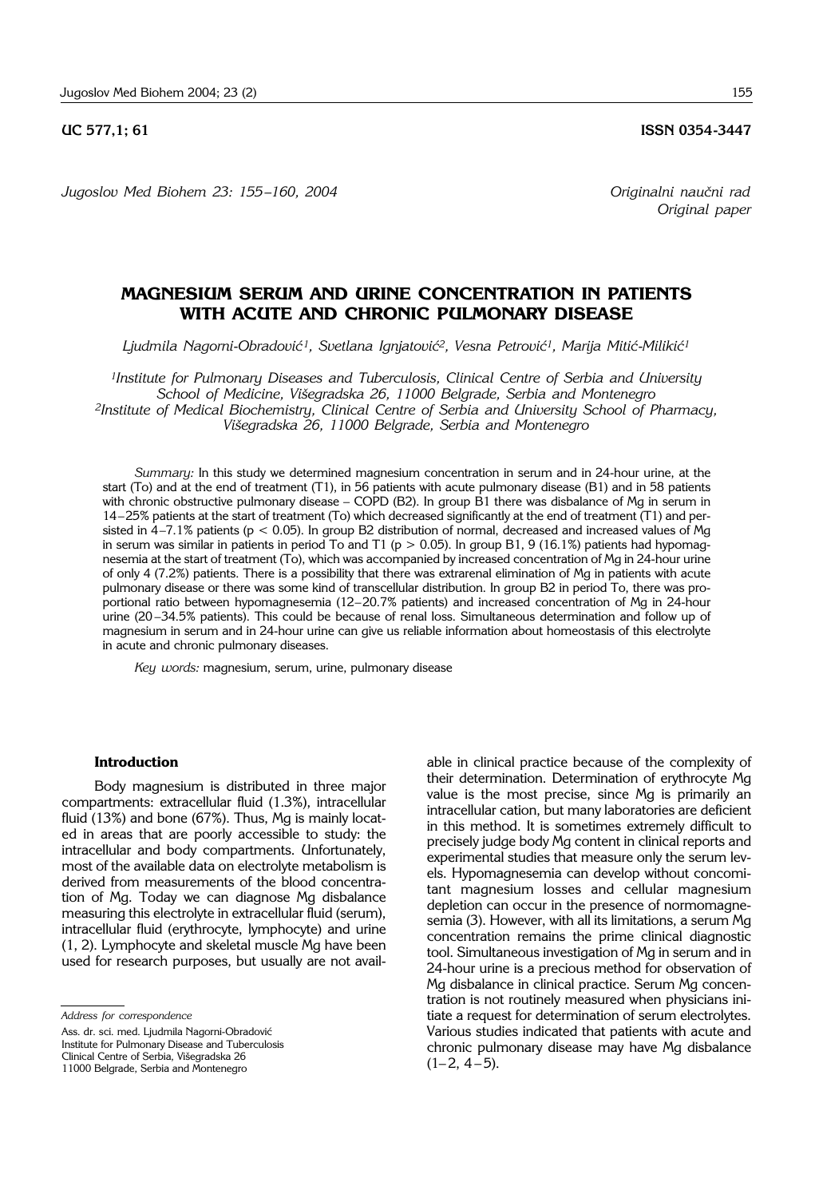*Jugoslov Med Biohem 23: 155 –160, 2004 Originalni nau~ni rad*

*Original paper*

# **MAGNESIUM SERUM AND URINE CONCENTRATION IN PATIENTS WITH ACUTE AND CHRONIC PULMONARY DISEASE**

Ljudmila Nagorni-Obradović<sup>1</sup>, Svetlana Ignjatović<sup>2</sup>, Vesna Petrović<sup>1</sup>, Marija Mitić-Milikić<sup>1</sup>

*1Institute for Pulmonary Diseases and Tuberculosis, Clinical Centre of Serbia and University School of Medicine, Vi{egradska 26, 11000 Belgrade, Serbia and Montenegro 2Institute of Medical Biochemistry, Clinical Centre of Serbia and University School of Pharmacy, Vi{egradska 26, 11000 Belgrade, Serbia and Montenegro*

*Summary:* In this study we determined magnesium concentration in serum and in 24-hour urine, at the start (To) and at the end of treatment (T1), in 56 patients with acute pulmonary disease (B1) and in 58 patients with chronic obstructive pulmonary disease  $-$  COPD (B2). In group B1 there was disbalance of Mg in serum in 14-25% patients at the start of treatment (To) which decreased significantly at the end of treatment (T1) and persisted in  $4-7.1\%$  patients (p < 0.05). In group B2 distribution of normal, decreased and increased values of Mg in serum was similar in patients in period To and T1 ( $p > 0.05$ ). In group B1, 9 (16.1%) patients had hypomagnesemia at the start of treatment (To), which was accompanied by increased concentration of Mg in 24-hour urine of only 4 (7.2%) patients. There is a possibility that there was extrarenal elimination of Mg in patients with acute pulmonary disease or there was some kind of transcellular distribution. In group B2 in period To, there was proportional ratio between hypomagnesemia (12-20.7% patients) and increased concentration of Mg in 24-hour urine (20-34.5% patients). This could be because of renal loss. Simultaneous determination and follow up of magnesium in serum and in 24-hour urine can give us reliable information about homeostasis of this electrolyte in acute and chronic pulmonary diseases.

*Key words:* magnesium, serum, urine, pulmonary disease

#### **Introduction**

Body magnesium is distributed in three major compartments: extracellular fluid (1.3%), intracellular fluid (13%) and bone (67%). Thus, Mg is mainly located in areas that are poorly accessible to study: the intracellular and body compartments. Unfortunately, most of the available data on electrolyte metabolism is derived from measurements of the blood concentration of Mg. Today we can diagnose Mg disbalance measuring this electrolyte in extracellular fluid (serum), intracellular fluid (erythrocyte, lymphocyte) and urine (1, 2). Lymphocyte and skeletal muscle Mg have been used for research purposes, but usually are not avail-

Ass. dr. sci. med. Ljudmila Nagorni-Obradović Institute for Pulmonary Disease and Tuberculosis Clinical Centre of Serbia, Višegradska 26 11000 Belgrade, Serbia and Montenegro

able in clinical practice because of the complexity of their determination. Determination of erythrocyte Mg value is the most precise, since Mg is primarily an intracellular cation, but many laboratories are deficient in this method. It is sometimes extremely difficult to precisely judge body Mg content in clinical reports and experimental studies that measure only the serum levels. Hypomagnesemia can develop without concomitant magnesium losses and cellular magnesium depletion can occur in the presence of normomagnesemia (3). However, with all its limitations, a serum Mg concentration remains the prime clinical diagnostic tool. Simultaneous investigation of Mg in serum and in 24-hour urine is a precious method for observation of Mg disbalance in clinical practice. Serum Mg concentration is not routinely measured when physicians initiate a request for determination of serum electrolytes. Various studies indicated that patients with acute and chronic pulmonary disease may have Mg disbalance  $(1 - 2, 4 - 5).$ 

*Address for correspondence*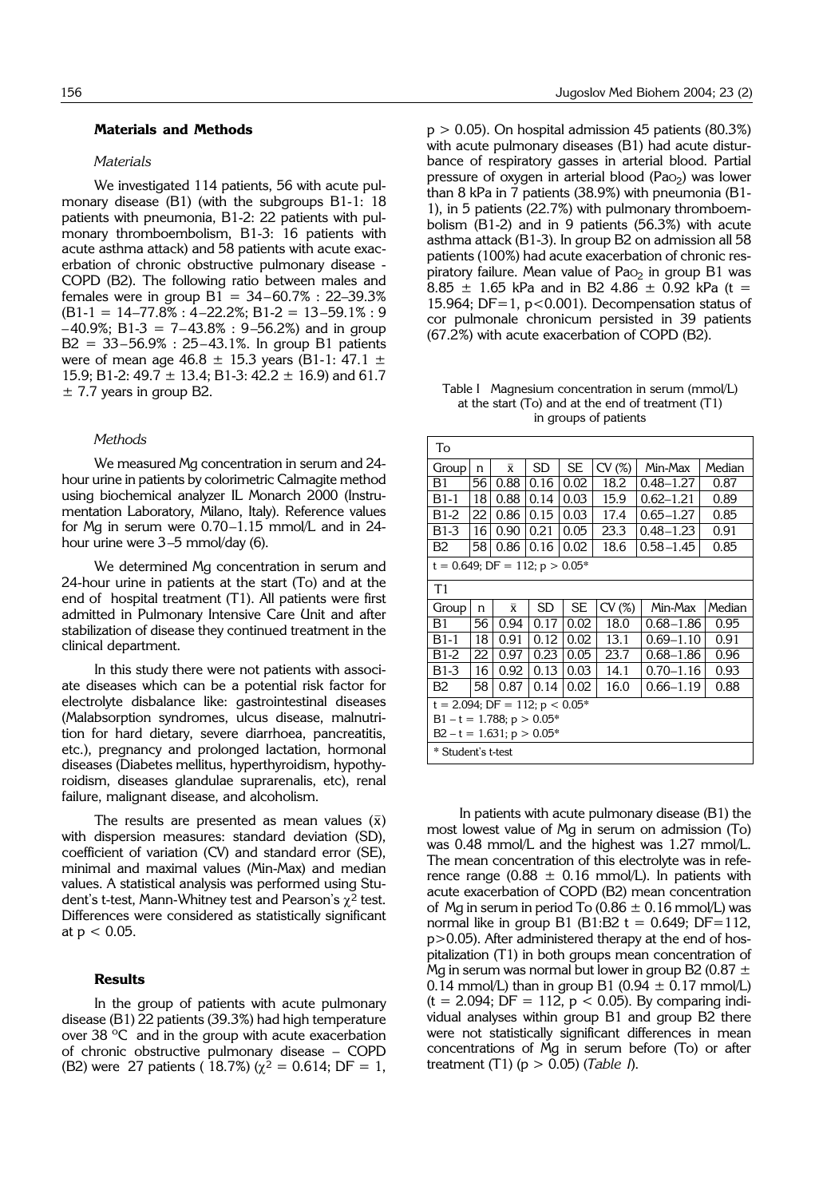### **Materials and Methods**

#### *Materials*

We investigated 114 patients, 56 with acute pulmonary disease (B1) (with the subgroups B1-1: 18 patients with pneumonia, B1-2: 22 patients with pulmonary thromboembolism, B1-3: 16 patients with acute asthma attack) and 58 patients with acute exacerbation of chronic obstructive pulmonary disease - COPD (B2). The following ratio between males and females were in group  $B1 = 34-60.7% : 22-39.3%$  $(B1-1 = 14-77.8\% : 4-22.2\%; B1-2 = 13-59.1\% : 9$  $-40.9\%$ ; B1-3 = 7-43.8% : 9-56.2%) and in group  $B2 = 33 - 56.9\% : 25 - 43.1\%$ . In group B1 patients were of mean age 46.8  $\pm$  15.3 years (B1-1: 47.1  $\pm$ 15.9; B1-2:  $49.7 \pm 13.4$ ; B1-3:  $42.2 \pm 16.9$ ) and 61.7  $\pm$  7.7 years in group B2.

#### *Methods*

We measured Mg concentration in serum and 24 hour urine in patients by colorimetric Calmagite method using biochemical analyzer IL Monarch 2000 (Instrumentation Laboratory, Milano, Italy). Reference values for Mg in serum were  $0.70-1.15$  mmol/L and in 24hour urine were  $3-5$  mmol/day (6).

We determined Mg concentration in serum and 24-hour urine in patients at the start (To) and at the end of hospital treatment (T1). All patients were first admitted in Pulmonary Intensive Care Unit and after stabilization of disease they continued treatment in the clinical department.

In this study there were not patients with associate diseases which can be a potential risk factor for electrolyte disbalance like: gastrointestinal diseases (Malabsorption syndromes, ulcus disease, malnutrition for hard dietary, severe diarrhoea, pancreatitis, etc.), pregnancy and prolonged lactation, hormonal diseases (Diabetes mellitus, hyperthyroidism, hypothyroidism, diseases glandulae suprarenalis, etc), renal failure, malignant disease, and alcoholism.

The results are presented as mean values  $(\bar{x})$ with dispersion measures: standard deviation (SD), coefficient of variation (CV) and standard error (SE), minimal and maximal values (Min-Max) and median values. A statistical analysis was performed using Student's t-test, Mann-Whitney test and Pearson's  $\chi^2$  test. Differences were considered as statistically significant at  $p < 0.05$ .

## **Results**

In the group of patients with acute pulmonary disease (B1) 22 patients (39.3%) had high temperature over 38 ºC and in the group with acute exacerbation of chronic obstructive pulmonary disease - COPD (B2) were 27 patients ( 18.7%) ( $\chi^2$  = 0.614; DF = 1,  $p > 0.05$ ). On hospital admission 45 patients (80.3%) with acute pulmonary diseases (B1) had acute disturbance of respiratory gasses in arterial blood. Partial pressure of oxygen in arterial blood (Pa $O<sub>2</sub>$ ) was lower than 8 kPa in 7 patients (38.9%) with pneumonia (B1- 1), in 5 patients (22.7%) with pulmonary thromboembolism (B1-2) and in 9 patients (56.3%) with acute asthma attack (B1-3). In group B2 on admission all 58 patients (100%) had acute exacerbation of chronic respiratory failure. Mean value of Pa $o<sub>2</sub>$  in group B1 was 8.85  $\pm$  1.65 kPa and in B2 4.86  $\pm$  0.92 kPa (t = 15.964; DF=1, p<0.001). Decompensation status of cor pulmonale chronicum persisted in 39 patients (67.2%) with acute exacerbation of COPD (B2).

Table I Magnesium concentration in serum (mmol/L) at the start (To) and at the end of treatment (T1) in groups of patients

| To                                   |                                                             |                                                       |      |           |       |               |        |  |  |  |  |
|--------------------------------------|-------------------------------------------------------------|-------------------------------------------------------|------|-----------|-------|---------------|--------|--|--|--|--|
| Group                                | n                                                           | $\bar{x}$                                             | SD   | <b>SE</b> | CV(%) | Min-Max       | Median |  |  |  |  |
| B1                                   | 56                                                          | 0.88                                                  | 0.16 | 0.02      | 18.2  | $0.48 - 1.27$ | 0.87   |  |  |  |  |
| $B1-1$                               | 18                                                          | 0.88                                                  | 0.14 | 0.03      | 15.9  | $0.62 - 1.21$ | 0.89   |  |  |  |  |
| B <sub>1</sub> -2                    | 22                                                          | 0.86                                                  | 0.15 | 0.03      | 17.4  | $0.65 - 1.27$ | 0.85   |  |  |  |  |
| B1-3                                 | 16                                                          | 0.21<br>0.90<br>0.05<br>23.3<br>$0.48 - 1.23$<br>0.91 |      |           |       |               |        |  |  |  |  |
| B <sub>2</sub>                       | 58<br>0.16<br>18.6<br>$0.58 - 1.45$<br>0.86<br>0.02<br>0.85 |                                                       |      |           |       |               |        |  |  |  |  |
| $t = 0.649$ ; DF = 112; $p > 0.05$ * |                                                             |                                                       |      |           |       |               |        |  |  |  |  |
| T1                                   |                                                             |                                                       |      |           |       |               |        |  |  |  |  |
| Group                                | n                                                           | $\bar{x}$                                             | SD   | SE.       | CV(%) | Min-Max       | Median |  |  |  |  |
| B1                                   | 56                                                          | 0.94                                                  | 0.17 | 0.02      | 18.0  | $0.68 - 1.86$ | 0.95   |  |  |  |  |
| $B1-1$                               | 18                                                          | 0.91                                                  | 0.12 | 0.02      | 13.1  | $0.69 - 1.10$ | 0.91   |  |  |  |  |
| B <sub>1</sub> -2                    | 23.7<br>22<br>0.97<br>0.23<br>0.05<br>$0.68 - 1.86$<br>0.96 |                                                       |      |           |       |               |        |  |  |  |  |
| B1-3                                 | 16                                                          | 0.92                                                  | 0.13 | 0.03      | 14.1  | $0.70 - 1.16$ | 0.93   |  |  |  |  |
| <b>B2</b>                            | $0.66 - 1.19$<br>58<br>0.14<br>0.02<br>16.0<br>0.88<br>0.87 |                                                       |      |           |       |               |        |  |  |  |  |
|                                      | $t = 2.094$ ; DF = 112; $p < 0.05$ *                        |                                                       |      |           |       |               |        |  |  |  |  |
|                                      |                                                             |                                                       |      |           |       |               |        |  |  |  |  |
| $B1 - t = 1.788$ ; $p > 0.05$ *      |                                                             |                                                       |      |           |       |               |        |  |  |  |  |
| $B2 - t = 1.631$ ; $p > 0.05$ *      |                                                             |                                                       |      |           |       |               |        |  |  |  |  |

In patients with acute pulmonary disease (B1) the most lowest value of Mg in serum on admission (To) was 0.48 mmol/L and the highest was 1.27 mmol/L. The mean concentration of this electrolyte was in reference range (0.88  $\pm$  0.16 mmol/L). In patients with acute exacerbation of COPD (B2) mean concentration of Mg in serum in period To (0.86  $\pm$  0.16 mmol/L) was normal like in group B1 (B1:B2  $t = 0.649$ ; DF=112, p>0.05). After administered therapy at the end of hospitalization (T1) in both groups mean concentration of Mg in serum was normal but lower in group B2 (0.87  $\pm$ 0.14 mmol/L) than in group B1 (0.94  $\pm$  0.17 mmol/L)  $(t = 2.094; DF = 112, p < 0.05)$ . By comparing individual analyses within group B1 and group B2 there were not statistically significant differences in mean concentrations of Mg in serum before (To) or after treatment (T1) (p > 0.05) (*Table I*).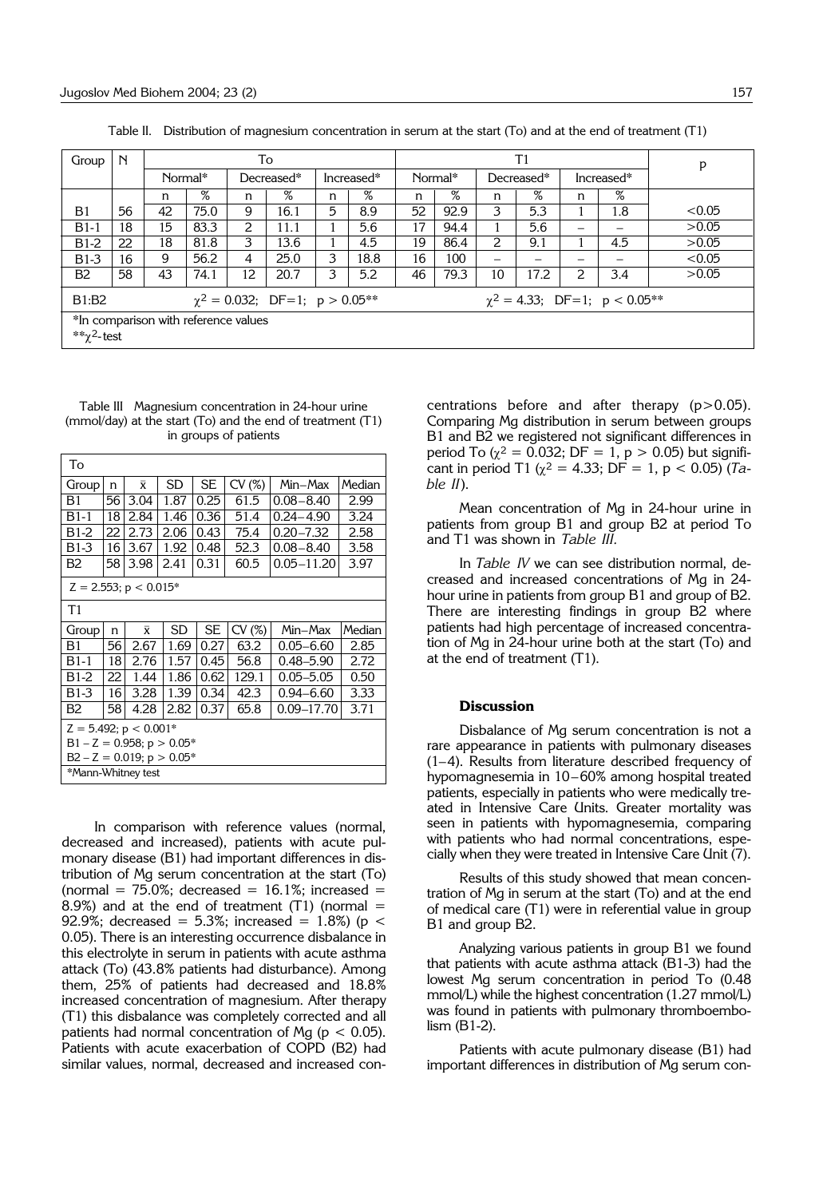| Group                                                                              | $\mathbb N$                                               |    |         |            | To   |            |      | T1      |      |                           |      |   |                 | p      |
|------------------------------------------------------------------------------------|-----------------------------------------------------------|----|---------|------------|------|------------|------|---------|------|---------------------------|------|---|-----------------|--------|
|                                                                                    |                                                           |    | Normal* | Decreased* |      | Increased* |      | Normal* |      | Decreased*                |      |   | Increased*      |        |
|                                                                                    |                                                           | n  | %       | n          | $\%$ | n          | %    | n       | $\%$ | n                         | $\%$ | n | $\overline{\%}$ |        |
| B <sub>1</sub>                                                                     | 56                                                        | 42 | 75.0    | 9          | 16.1 | 5          | 8.9  | 52      | 92.9 | 3                         | 5.3  |   | 1.8             | < 0.05 |
| $B1-1$                                                                             | 18                                                        | 15 | 83.3    | 2          | 11.1 |            | 5.6  | 17      | 94.4 |                           | 5.6  | — |                 | >0.05  |
| $B1-2$                                                                             | 22                                                        | 18 | 81.8    | 3          | 13.6 |            | 4.5  | 19      | 86.4 | $\mathsf{2}^{\mathsf{1}}$ | 9.1  |   | 4.5             | >0.05  |
| $B1-3$                                                                             | 16                                                        | 9  | 56.2    | 4          | 25.0 | 3          | 18.8 | 16      | 100  | –                         |      |   |                 | < 0.05 |
| <b>B2</b>                                                                          | 58                                                        | 43 | 74.1    | 12         | 20.7 | 3          | 5.2  | 46      | 79.3 | 10                        | 17.2 | 2 | 3.4             | >0.05  |
| $\chi^2 = 4.33$ ; DF=1; p < 0.05**<br>B1:B2<br>$\chi^2 = 0.032$ ; DF=1; p > 0.05** |                                                           |    |         |            |      |            |      |         |      |                           |      |   |                 |        |
|                                                                                    | *In comparison with reference values<br>** $\chi^2$ -test |    |         |            |      |            |      |         |      |                           |      |   |                 |        |

Table II. Distribution of magnesium concentration in serum at the start (To) and at the end of treatment (T1)

Table III Magnesium concentration in 24-hour urine (mmol/day) at the start (To) and the end of treatment (T1) in groups of patients

| To                              |    |                         |           |           |       |                |        |  |  |  |
|---------------------------------|----|-------------------------|-----------|-----------|-------|----------------|--------|--|--|--|
| Group                           | n  | $\overline{\mathbf{x}}$ | <b>SD</b> | <b>SE</b> | CV(%) | Min–Max        | Median |  |  |  |
| B1                              | 56 | 3.04                    | 1.87      | 0.25      | 61.5  | $0.08 - 8.40$  | 2.99   |  |  |  |
| B1-1                            | 18 | 2.84                    | 1.46      | 0.36      | 51.4  | $0.24 - 4.90$  | 3.24   |  |  |  |
| B1-2                            | 22 | 2.73                    | 2.06      | 0.43      | 75.4  | $0.20 - 7.32$  | 2.58   |  |  |  |
| B1-3                            | 16 | 3.67                    | 1.92      | 0.48      | 52.3  | $0.08 - 8.40$  | 3.58   |  |  |  |
| B2                              | 58 | 3.98                    | 2.41      | 0.31      | 60.5  | $0.05 - 11.20$ | 3.97   |  |  |  |
| $Z = 2.553$ ; $p < 0.015$ *     |    |                         |           |           |       |                |        |  |  |  |
| T1                              |    |                         |           |           |       |                |        |  |  |  |
|                                 |    |                         |           |           |       |                |        |  |  |  |
| Group                           | n  | $\bar{x}$               | SD        | <b>SE</b> | CV(%) | Min-Max        | Median |  |  |  |
| B1                              | 56 | 2.67                    | 1.69      | 0.27      | 63.2  | $0.05 - 6.60$  | 2.85   |  |  |  |
| $B1-1$                          | 18 | 2.76                    | 1.57      | 0.45      | 56.8  | $0.48 - 5.90$  | 2.72   |  |  |  |
| $B1-2$                          | 22 | 1.44                    | 1.86      | 0.62      | 129.1 | $0.05 - 5.05$  | 0.50   |  |  |  |
| $B1-3$                          | 16 | 3.28                    | 1.39      | 0.34      | 42.3  | $0.94 - 6.60$  | 3.33   |  |  |  |
| B2                              | 58 | 4.28                    | 2.82      | 0.37      | 65.8  | 0.09-17.70     | 3.71   |  |  |  |
| $Z = 5.492$ ; $p < 0.001$ *     |    |                         |           |           |       |                |        |  |  |  |
| $B1 - Z = 0.958$ ; $p > 0.05$ * |    |                         |           |           |       |                |        |  |  |  |
| $B2 - Z = 0.019$ ; $p > 0.05$ * |    |                         |           |           |       |                |        |  |  |  |

In comparison with reference values (normal, decreased and increased), patients with acute pulmonary disease (B1) had important differences in distribution of Mg serum concentration at the start (To) (normal =  $75.0\%$ ; decreased =  $16.1\%$ ; increased = 8.9%) and at the end of treatment  $(T1)$  (normal = 92.9%; decreased = 5.3%; increased = 1.8%) ( $p <$ 0.05). There is an interesting occurrence disbalance in this electrolyte in serum in patients with acute asthma attack (To) (43.8% patients had disturbance). Among them, 25% of patients had decreased and 18.8% increased concentration of magnesium. After therapy (T1) this disbalance was completely corrected and all patients had normal concentration of Mg ( $p < 0.05$ ). Patients with acute exacerbation of COPD (B2) had similar values, normal, decreased and increased con-

centrations before and after therapy (p>0.05). Comparing Mg distribution in serum between groups B1 and B2 we registered not significant differences in period To ( $\chi^2$  = 0.032; DF = 1, p > 0.05) but significant in period T1 ( $\chi^2$  = 4.33; DF = 1, p < 0.05) (*Table II*).

Mean concentration of Mg in 24-hour urine in patients from group B1 and group B2 at period To and T1 was shown in *Table III.*

In *Table IV* we can see distribution normal, decreased and increased concentrations of Mg in 24 hour urine in patients from group B1 and group of B2. There are interesting findings in group B2 where patients had high percentage of increased concentration of Mg in 24-hour urine both at the start (To) and at the end of treatment (T1).

#### **Discussion**

Disbalance of Mg serum concentration is not a rare appearance in patients with pulmonary diseases  $(1-4)$ . Results from literature described frequency of hypomagnesemia in 10-60% among hospital treated patients, especially in patients who were medically treated in Intensive Care Units. Greater mortality was seen in patients with hypomagnesemia, comparing with patients who had normal concentrations, especially when they were treated in Intensive Care Unit (7).

Results of this study showed that mean concentration of Mg in serum at the start (To) and at the end of medical care (T1) were in referential value in group B1 and group B2.

Analyzing various patients in group B1 we found that patients with acute asthma attack (B1-3) had the lowest Mg serum concentration in period To (0.48 mmol/L) while the highest concentration (1.27 mmol/L) was found in patients with pulmonary thromboembolism (B1-2).

Patients with acute pulmonary disease (B1) had important differences in distribution of Mg serum con-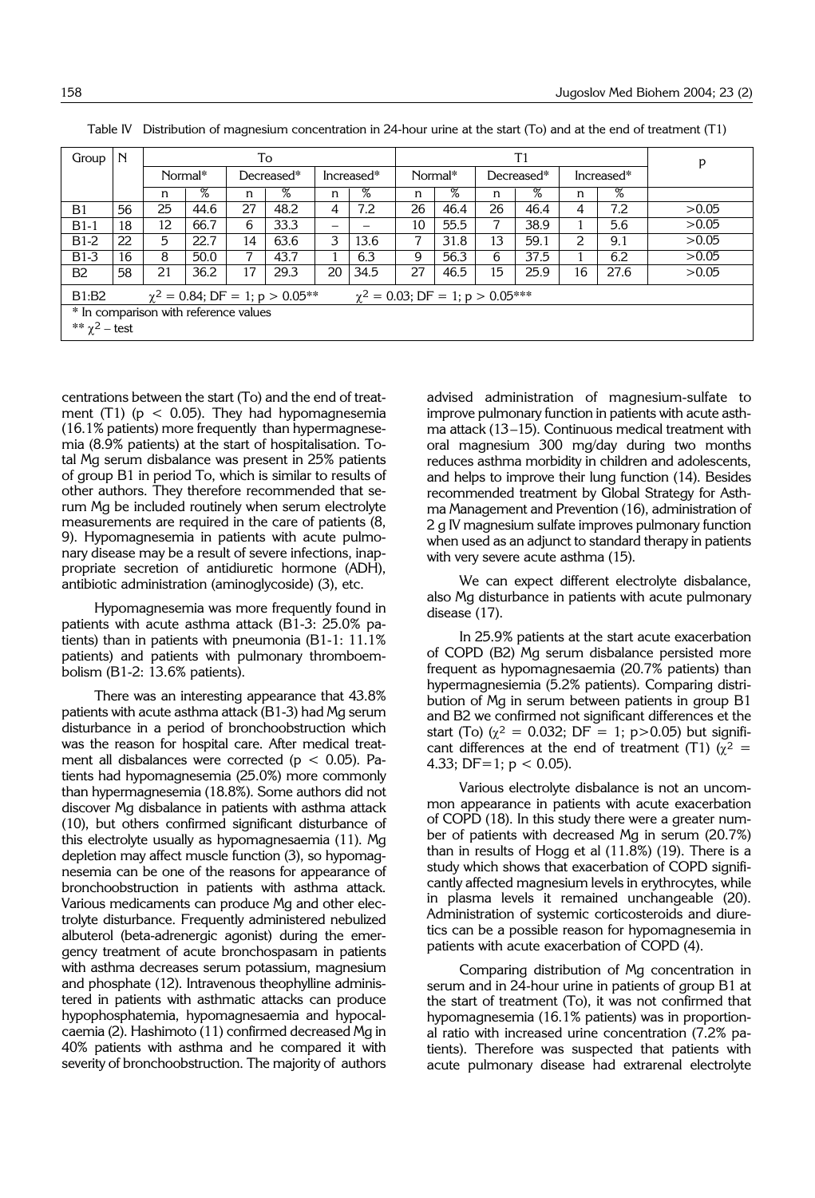| Group                                                                                    | $\mathbb N$                           |         |                 |    | To         |            |      |         |                 | p          |                 |                |      |       |
|------------------------------------------------------------------------------------------|---------------------------------------|---------|-----------------|----|------------|------------|------|---------|-----------------|------------|-----------------|----------------|------|-------|
|                                                                                          |                                       | Normal* |                 |    | Decreased* | Increased* |      | Normal* |                 | Decreased* |                 | Increased*     |      |       |
|                                                                                          |                                       | n       | $\overline{\%}$ | n  | %          | n          | %    | n       | $\overline{\%}$ | n          | $\overline{\%}$ | n              | %    |       |
| B <sub>1</sub>                                                                           | 56                                    | 25      | 44.6            | 27 | 48.2       | 4          | 7.2  | 26      | 46.4            | 26         | 46.4            | 4              | 7.2  | >0.05 |
| $B1-1$                                                                                   | 18                                    | 12      | 66.7            | 6  | 33.3       |            |      | 10      | 55.5            | 7          | 38.9            |                | 5.6  | >0.05 |
| $B1-2$                                                                                   | 22                                    | 5       | 22.7            | 14 | 63.6       | 3          | 13.6 | 7       | 31.8            | 13         | 59.1            | $\overline{2}$ | 9.1  | >0.05 |
| $B1-3$                                                                                   | 16                                    | 8       | 50.0            | 7  | 43.7       |            | 6.3  | 9       | 56.3            | 6          | 37.5            |                | 6.2  | >0.05 |
| B <sub>2</sub>                                                                           | 58                                    | 21      | 36.2            | 17 | 29.3       | 20         | 34.5 | 27      | 46.5            | 15         | 25.9            | 16             | 27.6 | >0.05 |
| $\gamma^2 = 0.03$ ; DF = 1; p > 0.05***<br>B1:B2<br>$\chi^2 = 0.84$ ; DF = 1; p > 0.05** |                                       |         |                 |    |            |            |      |         |                 |            |                 |                |      |       |
|                                                                                          | * In comparison with reference values |         |                 |    |            |            |      |         |                 |            |                 |                |      |       |
| ** $\chi^2$ – test                                                                       |                                       |         |                 |    |            |            |      |         |                 |            |                 |                |      |       |

Table IV Distribution of magnesium concentration in 24-hour urine at the start (To) and at the end of treatment (T1)

centrations between the start (To) and the end of treatment (T1) ( $p < 0.05$ ). They had hypomagnesemia (16.1% patients) more frequently than hypermagnesemia (8.9% patients) at the start of hospitalisation. Total Mg serum disbalance was present in 25% patients of group B1 in period To, which is similar to results of other authors. They therefore recommended that serum Mg be included routinely when serum electrolyte measurements are required in the care of patients (8, 9). Hypomagnesemia in patients with acute pulmonary disease may be a result of severe infections, inappropriate secretion of antidiuretic hormone (ADH), antibiotic administration (aminoglycoside) (3), etc.

Hypomagnesemia was more frequently found in patients with acute asthma attack (B1-3: 25.0% patients) than in patients with pneumonia (B1-1: 11.1% patients) and patients with pulmonary thromboembolism (B1-2: 13.6% patients).

There was an interesting appearance that 43.8% patients with acute asthma attack (B1-3) had Mg serum disturbance in a period of bronchoobstruction which was the reason for hospital care. After medical treatment all disbalances were corrected ( $p < 0.05$ ). Patients had hypomagnesemia (25.0%) more commonly than hypermagnesemia (18.8%). Some authors did not discover Mg disbalance in patients with asthma attack (10), but others confirmed significant disturbance of this electrolyte usually as hypomagnesaemia (11). Mg depletion may affect muscle function (3), so hypomagnesemia can be one of the reasons for appearance of bronchoobstruction in patients with asthma attack. Various medicaments can produce Mg and other electrolyte disturbance. Frequently administered nebulized albuterol (beta-adrenergic agonist) during the emergency treatment of acute bronchospasam in patients with asthma decreases serum potassium, magnesium and phosphate (12). Intravenous theophylline administered in patients with asthmatic attacks can produce hypophosphatemia, hypomagnesaemia and hypocalcaemia (2). Hashimoto (11) confirmed decreased Mg in 40% patients with asthma and he compared it with severity of bronchoobstruction. The majority of authors

advised administration of magnesium-sulfate to improve pulmonary function in patients with acute asthma attack  $(13-15)$ . Continuous medical treatment with oral magnesium 300 mg/day during two months reduces asthma morbidity in children and adolescents, and helps to improve their lung function (14). Besides recommended treatment by Global Strategy for Asthma Management and Prevention (16), administration of 2 g IV magnesium sulfate improves pulmonary function when used as an adjunct to standard therapy in patients with very severe acute asthma (15).

We can expect different electrolyte disbalance, also Mg disturbance in patients with acute pulmonary disease (17).

In 25.9% patients at the start acute exacerbation of COPD (B2) Mg serum disbalance persisted more frequent as hypomagnesaemia (20.7% patients) than hypermagnesiemia (5.2% patients). Comparing distribution of Mg in serum between patients in group B1 and B2 we confirmed not significant differences et the start (To) ( $\chi^2$  = 0.032; DF = 1; p>0.05) but significant differences at the end of treatment (T1) ( $\chi^2$  = 4.33; DF=1;  $p < 0.05$ ).

Various electrolyte disbalance is not an uncommon appearance in patients with acute exacerbation of COPD (18). In this study there were a greater number of patients with decreased Mg in serum (20.7%) than in results of Hogg et al  $(11.8\%)$  (19). There is a study which shows that exacerbation of COPD significantly affected magnesium levels in erythrocytes, while in plasma levels it remained unchangeable (20). Administration of systemic corticosteroids and diuretics can be a possible reason for hypomagnesemia in patients with acute exacerbation of COPD (4).

Comparing distribution of Mg concentration in serum and in 24-hour urine in patients of group B1 at the start of treatment (To), it was not confirmed that hypomagnesemia (16.1% patients) was in proportional ratio with increased urine concentration (7.2% patients). Therefore was suspected that patients with acute pulmonary disease had extrarenal electrolyte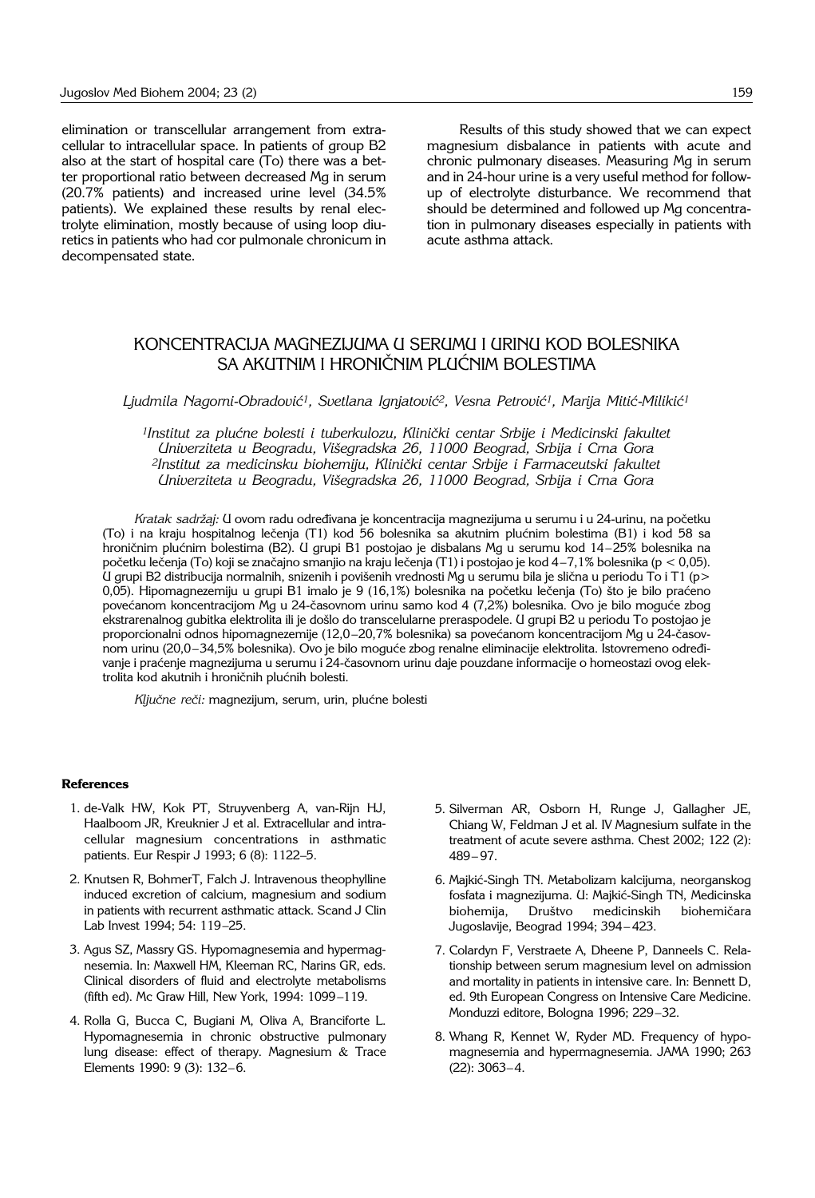elimination or transcellular arrangement from extracellular to intracellular space. In patients of group B2 also at the start of hospital care (To) there was a better proportional ratio between decreased Mg in serum (20.7% patients) and increased urine level (34.5% patients). We explained these results by renal electrolyte elimination, mostly because of using loop diuretics in patients who had cor pulmonale chronicum in decompensated state.

Results of this study showed that we can expect magnesium disbalance in patients with acute and chronic pulmonary diseases. Measuring Mg in serum and in 24-hour urine is a very useful method for followup of electrolyte disturbance. We recommend that should be determined and followed up Mg concentration in pulmonary diseases especially in patients with acute asthma attack.

## KONCENTRACIJA MAGNEZIJUMA U SERUMU I URINU KOD BOLESNIKA SA AKUTNIM I HRONIČNIM PLUĆNIM BOLESTIMA

Ljudmila Nagorni-Obradović<sup>1</sup>, Svetlana Ignjatović<sup>2</sup>, Vesna Petrović<sup>1</sup>, Marija Mitić-Milikić<sup>1</sup>

<sup>1</sup>Institut za plućne bolesti i tuberkulozu, Klinički centar Srbije i Medicinski fakultet *Univerziteta u Beogradu, Vi{egradska 26, 11000 Beograd, Srbija i Crna Gora* <sup>2</sup>Institut za medicinsku biohemiju, Klinički centar Srbije i Farmaceutski fakultet *Univerziteta u Beogradu, Vi{egradska 26, 11000 Beograd, Srbija i Crna Gora*

Kratak sadržaj: U ovom radu određivana je koncentracija magnezijuma u serumu i u 24-urinu, na početku (To) i na kraju hospitalnog lečenja (T1) kod 56 bolesnika sa akutnim plućnim bolestima (B1) i kod 58 sa hroničnim plućnim bolestima (B2). U grupi B1 postojao je disbalans Mg u serumu kod 14-25% bolesnika na početku lečenja (To) koji se značajno smanjio na kraju lečenja (T1) i postojao je kod 4-7,1% bolesnika (p < 0,05). U grupi B2 distribucija normalnih, snizenih i povišenih vrednosti Mg u serumu bila je slična u periodu To i T1 (p> 0,05). Hipomagnezemiju u grupi B1 imalo je 9 (16,1%) bolesnika na početku lečenja (To) što je bilo praćeno povećanom koncentracijom Mg u 24-časovnom urinu samo kod 4 (7,2%) bolesnika. Ovo je bilo moguće zbog ekstrarenalnog gubitka elektrolita ili je došlo do transcelularne preraspodele. U grupi B2 u periodu To postojao je proporcionalni odnos hipomagnezemije (12,0-20,7% bolesnika) sa povećanom koncentracijom Mg u 24-časovnom urinu (20,0-34,5% bolesnika). Ovo je bilo moguće zbog renalne eliminacije elektrolita. Istovremeno određivanje i praćenje magnezijuma u serumu i 24-časovnom urinu daje pouzdane informacije o homeostazi ovog elektrolita kod akutnih i hroničnih plućnih bolesti.

Ključne reči: magnezijum, serum, urin, plućne bolesti

#### **References**

- 1. de-Valk HW, Kok PT, Struyvenberg A, van-Rijn HJ, Haalboom JR, Kreuknier J et al. Extracellular and intracellular magnesium concentrations in asthmatic patients. Eur Respir J 1993; 6 (8): 1122-5.
- 2. Knutsen R, BohmerT, Falch J. Intravenous theophylline induced excretion of calcium, magnesium and sodium in patients with recurrent asthmatic attack. Scand J Clin Lab Invest 1994; 54: 119-25.
- 3. Agus SZ, Massry GS. Hypomagnesemia and hypermagnesemia. In: Maxwell HM, Kleeman RC, Narins GR, eds. Clinical disorders of fluid and electrolyte metabolisms (fifth ed). Mc Graw Hill, New York, 1994: 1099-119.
- 4. Rolla G, Bucca C, Bugiani M, Oliva A, Branciforte L. Hypomagnesemia in chronic obstructive pulmonary lung disease: effect of therapy. Magnesium & Trace Elements 1990: 9 (3): 132-6.
- 5. Silverman AR, Osborn H, Runge J, Gallagher JE, Chiang W, Feldman J et al. IV Magnesium sulfate in the treatment of acute severe asthma. Chest 2002; 122 (2):  $489 - 97.$
- 6. Majkić-Singh TN. Metabolizam kalcijuma, neorganskog fosfata i magnezijuma. U: Majkić-Singh TN, Medicinska biohemija, Društvo medicinskih biohemičara Jugoslavije, Beograd 1994; 394-423.
- 7. Colardyn F, Verstraete A, Dheene P, Danneels C. Relationship between serum magnesium level on admission and mortality in patients in intensive care. In: Bennett D, ed. 9th European Congress on Intensive Care Medicine. Monduzzi editore, Bologna 1996; 229-32.
- 8. Whang R, Kennet W, Ryder MD. Frequency of hypomagnesemia and hypermagnesemia. JAMA 1990; 263  $(22): 3063 - 4.$